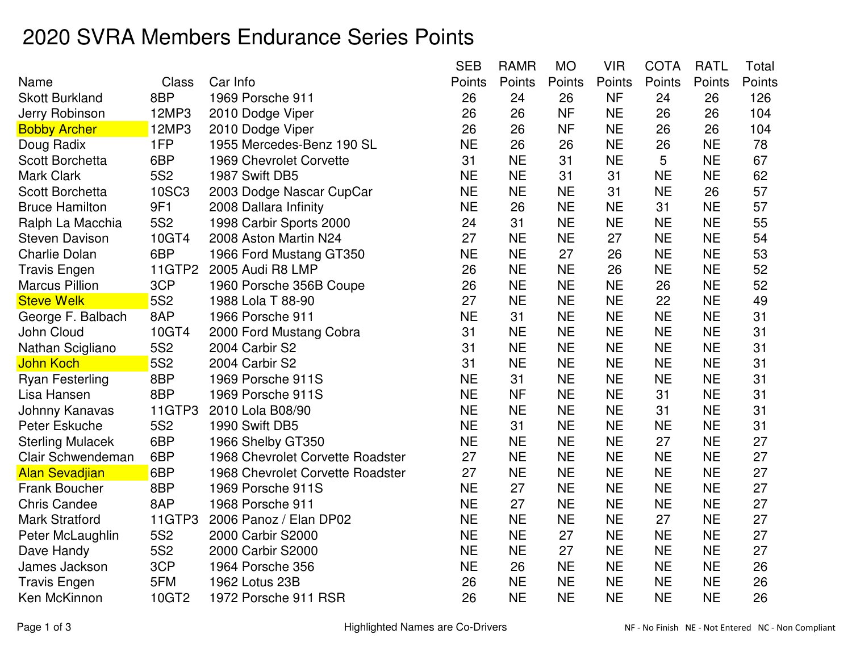## 2020 SVRA Members Endurance Series Points

|                         |                 |                                  | <b>SEB</b> | <b>RAMR</b> | <b>MO</b> | <b>VIR</b> | <b>COTA</b> | <b>RATL</b> | Total  |
|-------------------------|-----------------|----------------------------------|------------|-------------|-----------|------------|-------------|-------------|--------|
| Name                    | <b>Class</b>    | Car Info                         | Points     | Points      | Points    | Points     | Points      | Points      | Points |
| <b>Skott Burkland</b>   | 8BP             | 1969 Porsche 911                 | 26         | 24          | 26        | <b>NF</b>  | 24          | 26          | 126    |
| Jerry Robinson          | 12MP3           | 2010 Dodge Viper                 | 26         | 26          | <b>NF</b> | <b>NE</b>  | 26          | 26          | 104    |
| <b>Bobby Archer</b>     | 12MP3           | 2010 Dodge Viper                 | 26         | 26          | <b>NF</b> | <b>NE</b>  | 26          | 26          | 104    |
| Doug Radix              | 1FP             | 1955 Mercedes-Benz 190 SL        | <b>NE</b>  | 26          | 26        | <b>NE</b>  | 26          | <b>NE</b>   | 78     |
| <b>Scott Borchetta</b>  | 6BP             | 1969 Chevrolet Corvette          | 31         | <b>NE</b>   | 31        | <b>NE</b>  | 5           | <b>NE</b>   | 67     |
| <b>Mark Clark</b>       | <b>5S2</b>      | 1987 Swift DB5                   | <b>NE</b>  | <b>NE</b>   | 31        | 31         | <b>NE</b>   | <b>NE</b>   | 62     |
| Scott Borchetta         | 10SC3           | 2003 Dodge Nascar CupCar         | <b>NE</b>  | <b>NE</b>   | <b>NE</b> | 31         | <b>NE</b>   | 26          | 57     |
| <b>Bruce Hamilton</b>   | 9F1             | 2008 Dallara Infinity            | <b>NE</b>  | 26          | <b>NE</b> | <b>NE</b>  | 31          | <b>NE</b>   | 57     |
| Ralph La Macchia        | <b>5S2</b>      | 1998 Carbir Sports 2000          | 24         | 31          | <b>NE</b> | <b>NE</b>  | <b>NE</b>   | <b>NE</b>   | 55     |
| <b>Steven Davison</b>   | 10GT4           | 2008 Aston Martin N24            | 27         | <b>NE</b>   | <b>NE</b> | 27         | <b>NE</b>   | <b>NE</b>   | 54     |
| <b>Charlie Dolan</b>    | 6BP             | 1966 Ford Mustang GT350          | <b>NE</b>  | <b>NE</b>   | 27        | 26         | <b>NE</b>   | <b>NE</b>   | 53     |
| <b>Travis Engen</b>     | 11GTP2          | 2005 Audi R8 LMP                 | 26         | <b>NE</b>   | <b>NE</b> | 26         | <b>NE</b>   | <b>NE</b>   | 52     |
| <b>Marcus Pillion</b>   | 3CP             | 1960 Porsche 356B Coupe          | 26         | <b>NE</b>   | <b>NE</b> | <b>NE</b>  | 26          | <b>NE</b>   | 52     |
| <b>Steve Welk</b>       | <b>5S2</b>      | 1988 Lola T 88-90                | 27         | <b>NE</b>   | <b>NE</b> | <b>NE</b>  | 22          | <b>NE</b>   | 49     |
| George F. Balbach       | 8AP             | 1966 Porsche 911                 | <b>NE</b>  | 31          | <b>NE</b> | <b>NE</b>  | <b>NE</b>   | <b>NE</b>   | 31     |
| John Cloud              | 10GT4           | 2000 Ford Mustang Cobra          | 31         | <b>NE</b>   | <b>NE</b> | <b>NE</b>  | <b>NE</b>   | <b>NE</b>   | 31     |
| Nathan Scigliano        | <b>5S2</b>      | 2004 Carbir S2                   | 31         | <b>NE</b>   | <b>NE</b> | <b>NE</b>  | <b>NE</b>   | <b>NE</b>   | 31     |
| <b>John Koch</b>        | <b>5S2</b>      | 2004 Carbir S2                   | 31         | <b>NE</b>   | <b>NE</b> | <b>NE</b>  | <b>NE</b>   | <b>NE</b>   | 31     |
| <b>Ryan Festerling</b>  | 8BP             | 1969 Porsche 911S                | <b>NE</b>  | 31          | <b>NE</b> | <b>NE</b>  | <b>NE</b>   | <b>NE</b>   | 31     |
| Lisa Hansen             | 8BP             | 1969 Porsche 911S                | <b>NE</b>  | <b>NF</b>   | <b>NE</b> | <b>NE</b>  | 31          | <b>NE</b>   | 31     |
| Johnny Kanavas          | 11GTP3          | 2010 Lola B08/90                 | <b>NE</b>  | <b>NE</b>   | <b>NE</b> | <b>NE</b>  | 31          | <b>NE</b>   | 31     |
| Peter Eskuche           | 5S <sub>2</sub> | 1990 Swift DB5                   | <b>NE</b>  | 31          | <b>NE</b> | <b>NE</b>  | <b>NE</b>   | <b>NE</b>   | 31     |
| <b>Sterling Mulacek</b> | 6BP             | 1966 Shelby GT350                | <b>NE</b>  | <b>NE</b>   | <b>NE</b> | <b>NE</b>  | 27          | <b>NE</b>   | 27     |
| Clair Schwendeman       | 6BP             | 1968 Chevrolet Corvette Roadster | 27         | <b>NE</b>   | <b>NE</b> | <b>NE</b>  | <b>NE</b>   | <b>NE</b>   | 27     |
| <b>Alan Sevadjian</b>   | 6BP             | 1968 Chevrolet Corvette Roadster | 27         | <b>NE</b>   | <b>NE</b> | <b>NE</b>  | <b>NE</b>   | <b>NE</b>   | 27     |
| <b>Frank Boucher</b>    | 8BP             | 1969 Porsche 911S                | <b>NE</b>  | 27          | <b>NE</b> | <b>NE</b>  | <b>NE</b>   | <b>NE</b>   | 27     |
| <b>Chris Candee</b>     | 8AP             | 1968 Porsche 911                 | <b>NE</b>  | 27          | <b>NE</b> | <b>NE</b>  | <b>NE</b>   | <b>NE</b>   | 27     |
| <b>Mark Stratford</b>   | 11GTP3          | 2006 Panoz / Elan DP02           | <b>NE</b>  | <b>NE</b>   | <b>NE</b> | <b>NE</b>  | 27          | <b>NE</b>   | 27     |
| Peter McLaughlin        | <b>5S2</b>      | 2000 Carbir S2000                | <b>NE</b>  | <b>NE</b>   | 27        | <b>NE</b>  | <b>NE</b>   | <b>NE</b>   | 27     |
| Dave Handy              | 5S <sub>2</sub> | 2000 Carbir S2000                | <b>NE</b>  | <b>NE</b>   | 27        | <b>NE</b>  | <b>NE</b>   | <b>NE</b>   | 27     |
| James Jackson           | 3CP             | 1964 Porsche 356                 | <b>NE</b>  | 26          | <b>NE</b> | <b>NE</b>  | <b>NE</b>   | <b>NE</b>   | 26     |
| <b>Travis Engen</b>     | 5FM             | 1962 Lotus 23B                   | 26         | <b>NE</b>   | <b>NE</b> | <b>NE</b>  | <b>NE</b>   | <b>NE</b>   | 26     |
| Ken McKinnon            | 10GT2           | 1972 Porsche 911 RSR             | 26         | <b>NE</b>   | <b>NE</b> | <b>NE</b>  | <b>NE</b>   | <b>NE</b>   | 26     |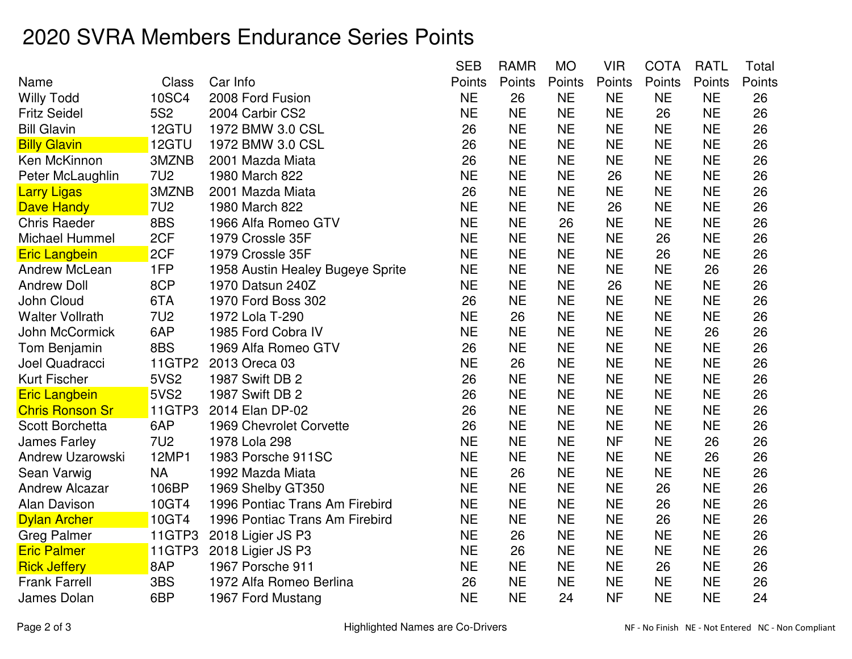## 2020 SVRA Members Endurance Series Points

|                         |              |                                  | <b>SEB</b> | <b>RAMR</b> | <b>MO</b> | <b>VIR</b> | <b>COTA</b> | <b>RATL</b> | Total  |
|-------------------------|--------------|----------------------------------|------------|-------------|-----------|------------|-------------|-------------|--------|
| Name                    | <b>Class</b> | Car Info                         | Points     | Points      | Points    | Points     | Points      | Points      | Points |
| <b>Willy Todd</b>       | <b>10SC4</b> | 2008 Ford Fusion                 | <b>NE</b>  | 26          | <b>NE</b> | <b>NE</b>  | <b>NE</b>   | <b>NE</b>   | 26     |
| <b>Fritz Seidel</b>     | <b>5S2</b>   | 2004 Carbir CS2                  | <b>NE</b>  | <b>NE</b>   | <b>NE</b> | <b>NE</b>  | 26          | <b>NE</b>   | 26     |
| <b>Bill Glavin</b>      | 12GTU        | 1972 BMW 3.0 CSL                 | 26         | <b>NE</b>   | <b>NE</b> | <b>NE</b>  | <b>NE</b>   | <b>NE</b>   | 26     |
| <b>Billy Glavin</b>     | 12GTU        | 1972 BMW 3.0 CSL                 | 26         | <b>NE</b>   | <b>NE</b> | <b>NE</b>  | <b>NE</b>   | <b>NE</b>   | 26     |
| Ken McKinnon            | 3MZNB        | 2001 Mazda Miata                 | 26         | <b>NE</b>   | <b>NE</b> | <b>NE</b>  | <b>NE</b>   | <b>NE</b>   | 26     |
| Peter McLaughlin        | <b>7U2</b>   | 1980 March 822                   | <b>NE</b>  | <b>NE</b>   | <b>NE</b> | 26         | <b>NE</b>   | <b>NE</b>   | 26     |
| <b>Larry Ligas</b>      | 3MZNB        | 2001 Mazda Miata                 | 26         | <b>NE</b>   | <b>NE</b> | <b>NE</b>  | <b>NE</b>   | <b>NE</b>   | 26     |
| <b>Dave Handy</b>       | <b>7U2</b>   | 1980 March 822                   | <b>NE</b>  | <b>NE</b>   | <b>NE</b> | 26         | <b>NE</b>   | <b>NE</b>   | 26     |
| <b>Chris Raeder</b>     | 8BS          | 1966 Alfa Romeo GTV              | <b>NE</b>  | <b>NE</b>   | 26        | <b>NE</b>  | <b>NE</b>   | <b>NE</b>   | 26     |
| <b>Michael Hummel</b>   | 2CF          | 1979 Crossle 35F                 | <b>NE</b>  | <b>NE</b>   | <b>NE</b> | <b>NE</b>  | 26          | <b>NE</b>   | 26     |
| <b>Eric Langbein</b>    | 2CF          | 1979 Crossle 35F                 | <b>NE</b>  | <b>NE</b>   | <b>NE</b> | <b>NE</b>  | 26          | <b>NE</b>   | 26     |
| <b>Andrew McLean</b>    | 1FP          | 1958 Austin Healey Bugeye Sprite | <b>NE</b>  | <b>NE</b>   | <b>NE</b> | <b>NE</b>  | <b>NE</b>   | 26          | 26     |
| <b>Andrew Doll</b>      | 8CP          | 1970 Datsun 240Z                 | <b>NE</b>  | <b>NE</b>   | <b>NE</b> | 26         | <b>NE</b>   | <b>NE</b>   | 26     |
| John Cloud              | 6TA          | 1970 Ford Boss 302               | 26         | <b>NE</b>   | <b>NE</b> | <b>NE</b>  | <b>NE</b>   | <b>NE</b>   | 26     |
| <b>Walter Vollrath</b>  | <b>7U2</b>   | 1972 Lola T-290                  | <b>NE</b>  | 26          | <b>NE</b> | <b>NE</b>  | <b>NE</b>   | <b>NE</b>   | 26     |
| John McCormick          | 6AP          | 1985 Ford Cobra IV               | <b>NE</b>  | <b>NE</b>   | <b>NE</b> | <b>NE</b>  | <b>NE</b>   | 26          | 26     |
| Tom Benjamin            | 8BS          | 1969 Alfa Romeo GTV              | 26         | <b>NE</b>   | <b>NE</b> | <b>NE</b>  | <b>NE</b>   | <b>NE</b>   | 26     |
| Joel Quadracci          | 11GTP2       | 2013 Oreca 03                    | <b>NE</b>  | 26          | <b>NE</b> | <b>NE</b>  | <b>NE</b>   | <b>NE</b>   | 26     |
| <b>Kurt Fischer</b>     | <b>5VS2</b>  | 1987 Swift DB 2                  | 26         | <b>NE</b>   | <b>NE</b> | <b>NE</b>  | <b>NE</b>   | <b>NE</b>   | 26     |
| <b>Eric Langbein</b>    | <b>5VS2</b>  | 1987 Swift DB 2                  | 26         | <b>NE</b>   | <b>NE</b> | <b>NE</b>  | <b>NE</b>   | <b>NE</b>   | 26     |
| <b>Chris Ronson Sr</b>  | 11GTP3       | 2014 Elan DP-02                  | 26         | <b>NE</b>   | <b>NE</b> | <b>NE</b>  | <b>NE</b>   | <b>NE</b>   | 26     |
| Scott Borchetta         | 6AP          | 1969 Chevrolet Corvette          | 26         | <b>NE</b>   | <b>NE</b> | <b>NE</b>  | <b>NE</b>   | <b>NE</b>   | 26     |
| <b>James Farley</b>     | <b>7U2</b>   | 1978 Lola 298                    | <b>NE</b>  | <b>NE</b>   | <b>NE</b> | <b>NF</b>  | <b>NE</b>   | 26          | 26     |
| <b>Andrew Uzarowski</b> | 12MP1        | 1983 Porsche 911SC               | <b>NE</b>  | <b>NE</b>   | <b>NE</b> | <b>NE</b>  | <b>NE</b>   | 26          | 26     |
| Sean Varwig             | <b>NA</b>    | 1992 Mazda Miata                 | <b>NE</b>  | 26          | <b>NE</b> | <b>NE</b>  | <b>NE</b>   | <b>NE</b>   | 26     |
| <b>Andrew Alcazar</b>   | 106BP        | 1969 Shelby GT350                | <b>NE</b>  | <b>NE</b>   | <b>NE</b> | <b>NE</b>  | 26          | <b>NE</b>   | 26     |
| <b>Alan Davison</b>     | 10GT4        | 1996 Pontiac Trans Am Firebird   | <b>NE</b>  | <b>NE</b>   | <b>NE</b> | <b>NE</b>  | 26          | <b>NE</b>   | 26     |
| <b>Dylan Archer</b>     | 10GT4        | 1996 Pontiac Trans Am Firebird   | <b>NE</b>  | <b>NE</b>   | <b>NE</b> | <b>NE</b>  | 26          | <b>NE</b>   | 26     |
| <b>Greg Palmer</b>      | 11GTP3       | 2018 Ligier JS P3                | <b>NE</b>  | 26          | <b>NE</b> | <b>NE</b>  | <b>NE</b>   | <b>NE</b>   | 26     |
| <b>Eric Palmer</b>      | 11GTP3       | 2018 Ligier JS P3                | <b>NE</b>  | 26          | <b>NE</b> | <b>NE</b>  | <b>NE</b>   | <b>NE</b>   | 26     |
| <b>Rick Jeffery</b>     | 8AP          | 1967 Porsche 911                 | <b>NE</b>  | <b>NE</b>   | <b>NE</b> | <b>NE</b>  | 26          | <b>NE</b>   | 26     |
| <b>Frank Farrell</b>    | 3BS          | 1972 Alfa Romeo Berlina          | 26         | <b>NE</b>   | <b>NE</b> | <b>NE</b>  | <b>NE</b>   | <b>NE</b>   | 26     |
| James Dolan             | 6BP          | 1967 Ford Mustang                | <b>NE</b>  | <b>NE</b>   | 24        | <b>NF</b>  | <b>NE</b>   | <b>NE</b>   | 24     |